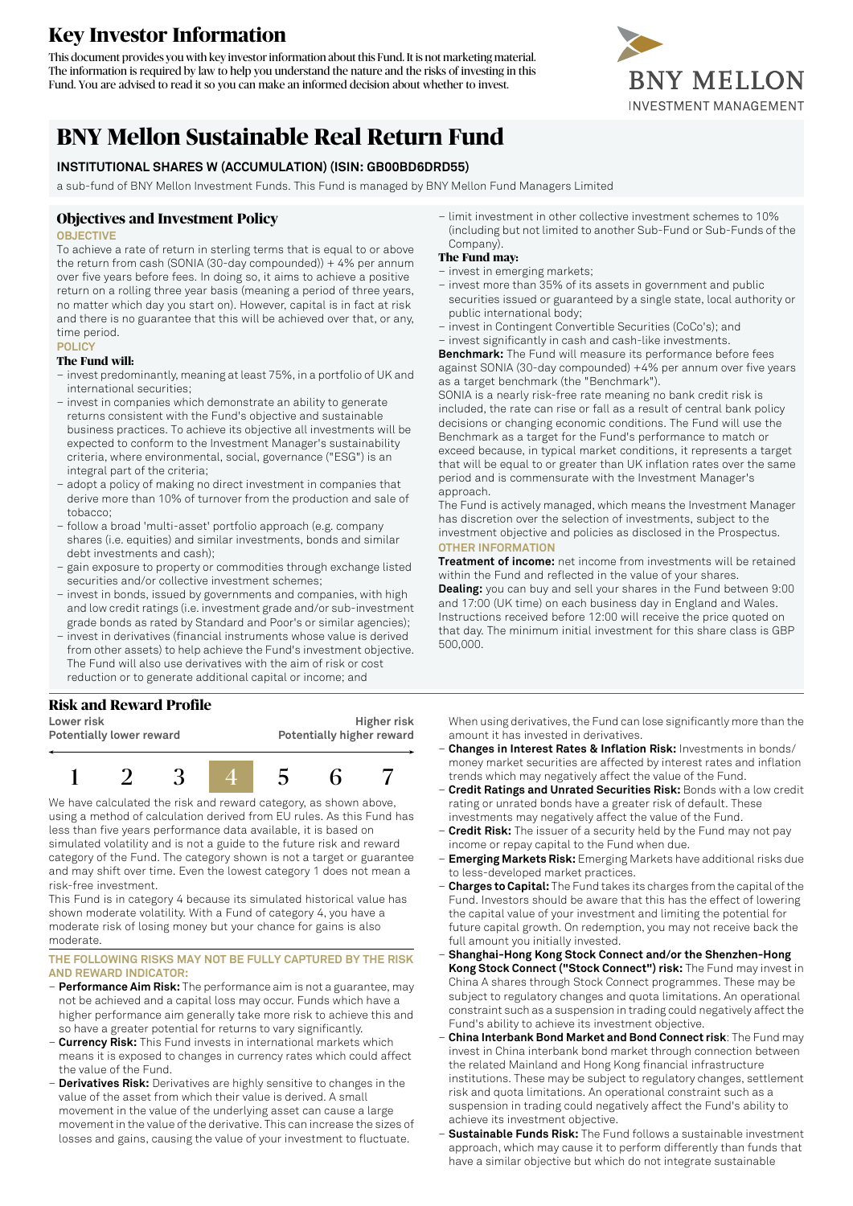# **Key Investor Information**

This document provides you with key investorinformation about this Fund. It is not marketing material. The information is required by law to help you understand the nature and the risks of investing in this Fund. You are advised to read it so you can make an informed decision about whether to invest.



# **BNY Mellon Sustainable Real Return Fund**

# **INSTITUTIONAL SHARES W (ACCUMULATION) (ISIN: GB00BD6DRD55)**

a sub-fund of BNY Mellon Investment Funds. This Fund is managed by BNY Mellon Fund Managers Limited

## **Objectives and Investment Policy**

## **OBJECTIVE**

To achieve a rate of return in sterling terms that is equal to or above the return from cash (SONIA (30-day compounded)) + 4% per annum over five years before fees. In doing so, it aims to achieve a positive return on a rolling three year basis (meaning a period of three years, no matter which day you start on). However, capital is in fact at risk and there is no guarantee that this will be achieved over that, or any, time period.

## **POLICY**

## **The Fund will:**

- invest predominantly, meaning at least 75%, in a portfolio of UK and international securities;
- invest in companies which demonstrate an ability to generate returns consistent with the Fund's objective and sustainable business practices. To achieve its objective all investments will be expected to conform to the Investment Manager's sustainability criteria, where environmental, social, governance ("ESG") is an integral part of the criteria;
- adopt a policy of making no direct investment in companies that derive more than 10% of turnover from the production and sale of tobacco;
- follow a broad 'multi-asset' portfolio approach (e.g. company shares (i.e. equities) and similar investments, bonds and similar debt investments and cash);
- gain exposure to property or commodities through exchange listed securities and/or collective investment schemes;
- invest in bonds, issued by governments and companies, with high and low credit ratings (i.e. investment grade and/or sub-investment grade bonds as rated by Standard and Poor's or similar agencies);
- invest in derivatives (financial instruments whose value is derived from other assets) to help achieve the Fund's investment objective. The Fund will also use derivatives with the aim of risk or cost reduction or to generate additional capital or income; and

# **Risk and Reward Profile**

**Lower risk Potentially lower reward**

**Higher risk Potentially higher reward**



We have calculated the risk and reward category, as shown above, using a method of calculation derived from EU rules. As this Fund has less than five years performance data available, it is based on simulated volatility and is not a guide to the future risk and reward category of the Fund. The category shown is not a target or guarantee and may shift over time. Even the lowest category 1 does not mean a risk-free investment.

This Fund is in category 4 because its simulated historical value has shown moderate volatility. With a Fund of category 4, you have a moderate risk of losing money but your chance for gains is also moderate.

#### **THE FOLLOWING RISKS MAY NOT BE FULLY CAPTURED BY THE RISK AND REWARD INDICATOR:**

- **Performance Aim Risk:** The performance aim is not a guarantee, may not be achieved and a capital loss may occur. Funds which have a higher performance aim generally take more risk to achieve this and so have a greater potential for returns to vary significantly.
- **Currency Risk:** This Fund invests in international markets which means it is exposed to changes in currency rates which could affect the value of the Fund.
- **Derivatives Risk:** Derivatives are highly sensitive to changes in the value of the asset from which their value is derived. A small movement in the value of the underlying asset can cause a large movement in the value of the derivative. This can increase the sizes of losses and gains, causing the value of your investment to fluctuate.

– limit investment in other collective investment schemes to 10% (including but not limited to another Sub-Fund or Sub-Funds of the Company).

# **The Fund may:**

- invest in emerging markets;
- invest more than 35% of its assets in government and public securities issued or guaranteed by a single state, local authority or public international body;
- invest in Contingent Convertible Securities (CoCo's); and
- invest significantly in cash and cash-like investments.

**Benchmark:** The Fund will measure its performance before fees against SONIA (30-day compounded) +4% per annum over five years as a target benchmark (the "Benchmark").

SONIA is a nearly risk-free rate meaning no bank credit risk is included, the rate can rise or fall as a result of central bank policy decisions or changing economic conditions. The Fund will use the Benchmark as a target for the Fund's performance to match or exceed because, in typical market conditions, it represents a target that will be equal to or greater than UK inflation rates over the same period and is commensurate with the Investment Manager's approach.

The Fund is actively managed, which means the Investment Manager has discretion over the selection of investments, subject to the investment objective and policies as disclosed in the Prospectus. **OTHER INFORMATION**

**Treatment of income:** net income from investments will be retained within the Fund and reflected in the value of your shares. **Dealing:** you can buy and sell your shares in the Fund between 9:00 and 17:00 (UK time) on each business day in England and Wales. Instructions received before 12:00 will receive the price quoted on that day. The minimum initial investment for this share class is GBP 500,000.

When using derivatives, the Fund can lose significantly more than the amount it has invested in derivatives.

- **Changes in Interest Rates & Inflation Risk:** Investments in bonds/ money market securities are affected by interest rates and inflation trends which may negatively affect the value of the Fund.
- **Credit Ratings and Unrated Securities Risk:** Bonds with a low credit rating or unrated bonds have a greater risk of default. These investments may negatively affect the value of the Fund.
- **Credit Risk:** The issuer of a security held by the Fund may not pay income or repay capital to the Fund when due.
- **Emerging Markets Risk:** Emerging Markets have additional risks due to less-developed market practices.
- **Charges to Capital:** The Fund takes its charges from the capital ofthe Fund. Investors should be aware that this has the effect of lowering the capital value of your investment and limiting the potential for future capital growth. On redemption, you may not receive back the full amount you initially invested.
- **Shanghai-Hong Kong Stock Connect and/or the Shenzhen-Hong Kong Stock Connect ("Stock Connect") risk:** The Fund may invest in China A shares through Stock Connect programmes. These may be subject to regulatory changes and quota limitations. An operational constraint such as a suspension in trading could negatively affect the Fund's ability to achieve its investment objective.
- **China Interbank Bond Market and Bond Connect risk**: The Fund may invest in China interbank bond market through connection between the related Mainland and Hong Kong financial infrastructure institutions. These may be subject to regulatory changes, settlement risk and quota limitations. An operational constraint such as a suspension in trading could negatively affect the Fund's ability to achieve its investment objective.
- **Sustainable Funds Risk:** The Fund follows a sustainable investment approach, which may cause it to perform differently than funds that have a similar objective but which do not integrate sustainable